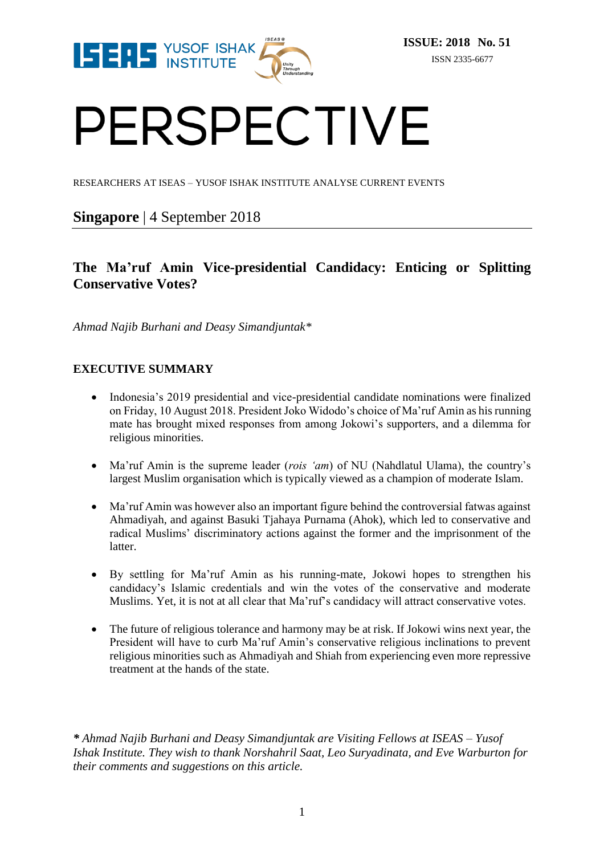

# PERSPECTIVE

RESEARCHERS AT ISEAS – YUSOF ISHAK INSTITUTE ANALYSE CURRENT EVENTS

# **Singapore** | 4 September 2018

# **The Ma'ruf Amin Vice-presidential Candidacy: Enticing or Splitting Conservative Votes?**

*Ahmad Najib Burhani and Deasy Simandjuntak\**

## **EXECUTIVE SUMMARY**

- Indonesia's 2019 presidential and vice-presidential candidate nominations were finalized on Friday, 10 August 2018. President Joko Widodo's choice of Ma'ruf Amin as his running mate has brought mixed responses from among Jokowi's supporters, and a dilemma for religious minorities.
- Ma'ruf Amin is the supreme leader (*rois 'am*) of NU (Nahdlatul Ulama), the country's largest Muslim organisation which is typically viewed as a champion of moderate Islam.
- Ma'ruf Amin was however also an important figure behind the controversial fatwas against Ahmadiyah, and against Basuki Tjahaya Purnama (Ahok), which led to conservative and radical Muslims' discriminatory actions against the former and the imprisonment of the latter.
- By settling for Ma'ruf Amin as his running-mate, Jokowi hopes to strengthen his candidacy's Islamic credentials and win the votes of the conservative and moderate Muslims. Yet, it is not at all clear that Ma'ruf's candidacy will attract conservative votes.
- The future of religious tolerance and harmony may be at risk. If Jokowi wins next year, the President will have to curb Ma'ruf Amin's conservative religious inclinations to prevent religious minorities such as Ahmadiyah and Shiah from experiencing even more repressive treatment at the hands of the state.

*\* Ahmad Najib Burhani and Deasy Simandjuntak are Visiting Fellows at ISEAS – Yusof Ishak Institute. They wish to thank Norshahril Saat, Leo Suryadinata, and Eve Warburton for their comments and suggestions on this article.*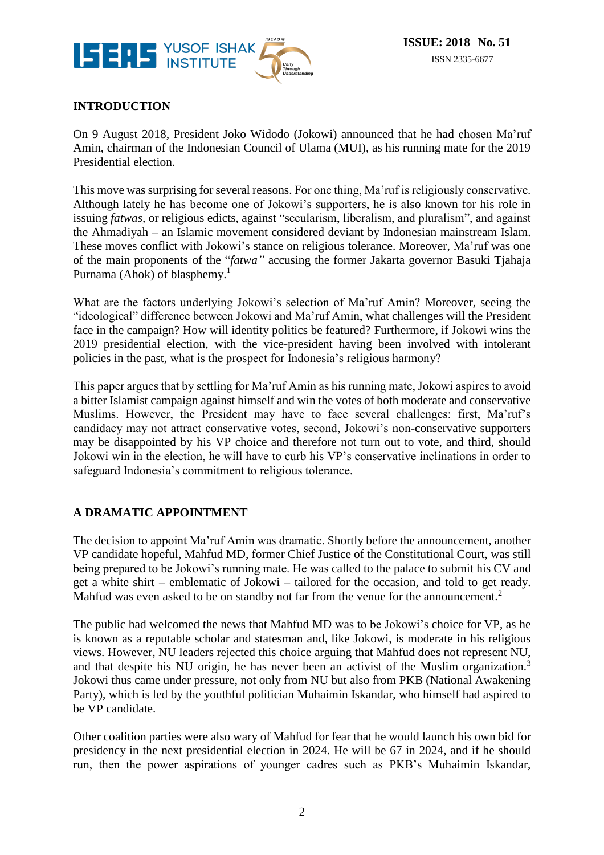

# **INTRODUCTION**

On 9 August 2018, President Joko Widodo (Jokowi) announced that he had chosen Ma'ruf Amin, chairman of the Indonesian Council of Ulama (MUI), as his running mate for the 2019 Presidential election.

This move was surprising for several reasons. For one thing, Ma'ruf is religiously conservative. Although lately he has become one of Jokowi's supporters, he is also known for his role in issuing *fatwas,* or religious edicts, against "secularism, liberalism, and pluralism", and against the Ahmadiyah – an Islamic movement considered deviant by Indonesian mainstream Islam. These moves conflict with Jokowi's stance on religious tolerance. Moreover, Ma'ruf was one of the main proponents of the "*fatwa"* accusing the former Jakarta governor Basuki Tjahaja Purnama (Ahok) of blasphemy.<sup>1</sup>

What are the factors underlying Jokowi's selection of Ma'ruf Amin? Moreover, seeing the "ideological" difference between Jokowi and Ma'ruf Amin, what challenges will the President face in the campaign? How will identity politics be featured? Furthermore, if Jokowi wins the 2019 presidential election, with the vice-president having been involved with intolerant policies in the past, what is the prospect for Indonesia's religious harmony?

This paper argues that by settling for Ma'ruf Amin as his running mate, Jokowi aspires to avoid a bitter Islamist campaign against himself and win the votes of both moderate and conservative Muslims. However, the President may have to face several challenges: first, Ma'ruf's candidacy may not attract conservative votes, second, Jokowi's non-conservative supporters may be disappointed by his VP choice and therefore not turn out to vote, and third, should Jokowi win in the election, he will have to curb his VP's conservative inclinations in order to safeguard Indonesia's commitment to religious tolerance.

## **A DRAMATIC APPOINTMENT**

The decision to appoint Ma'ruf Amin was dramatic. Shortly before the announcement, another VP candidate hopeful, Mahfud MD, former Chief Justice of the Constitutional Court, was still being prepared to be Jokowi's running mate. He was called to the palace to submit his CV and get a white shirt – emblematic of Jokowi – tailored for the occasion, and told to get ready. Mahfud was even asked to be on standby not far from the venue for the announcement.<sup>2</sup>

The public had welcomed the news that Mahfud MD was to be Jokowi's choice for VP, as he is known as a reputable scholar and statesman and, like Jokowi, is moderate in his religious views. However, NU leaders rejected this choice arguing that Mahfud does not represent NU, and that despite his NU origin, he has never been an activist of the Muslim organization.<sup>3</sup> Jokowi thus came under pressure, not only from NU but also from PKB (National Awakening Party), which is led by the youthful politician Muhaimin Iskandar, who himself had aspired to be VP candidate.

Other coalition parties were also wary of Mahfud for fear that he would launch his own bid for presidency in the next presidential election in 2024. He will be 67 in 2024, and if he should run, then the power aspirations of younger cadres such as PKB's Muhaimin Iskandar,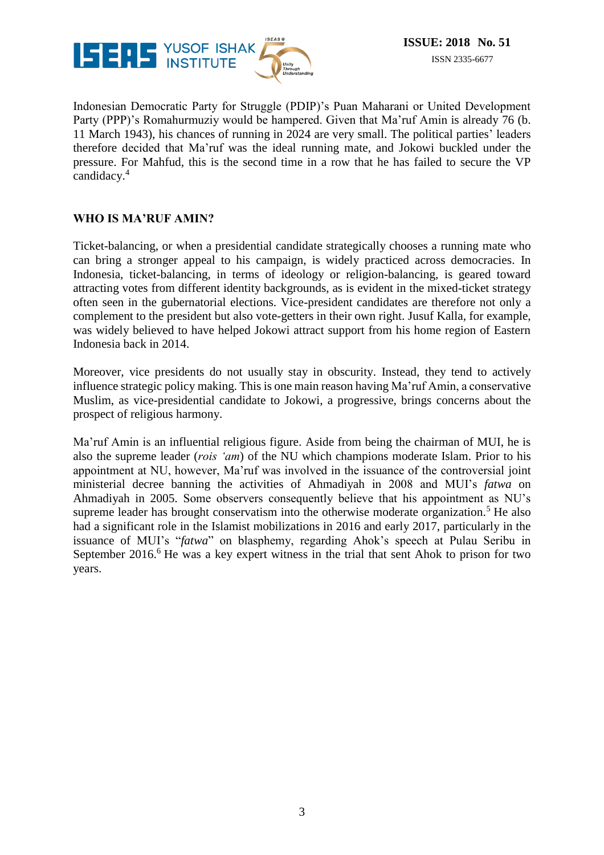

Indonesian Democratic Party for Struggle (PDIP)'s Puan Maharani or United Development Party (PPP)'s Romahurmuziy would be hampered. Given that Ma'ruf Amin is already 76 (b. 11 March 1943), his chances of running in 2024 are very small. The political parties' leaders therefore decided that Ma'ruf was the ideal running mate, and Jokowi buckled under the pressure. For Mahfud, this is the second time in a row that he has failed to secure the VP candidacy. 4

## **WHO IS MA'RUF AMIN?**

Ticket-balancing, or when a presidential candidate strategically chooses a running mate who can bring a stronger appeal to his campaign, is widely practiced across democracies. In Indonesia, ticket-balancing, in terms of ideology or religion-balancing, is geared toward attracting votes from different identity backgrounds, as is evident in the mixed-ticket strategy often seen in the gubernatorial elections. Vice-president candidates are therefore not only a complement to the president but also vote-getters in their own right. Jusuf Kalla, for example, was widely believed to have helped Jokowi attract support from his home region of Eastern Indonesia back in 2014.

Moreover, vice presidents do not usually stay in obscurity. Instead, they tend to actively influence strategic policy making. This is one main reason having Ma'ruf Amin, a conservative Muslim, as vice-presidential candidate to Jokowi, a progressive, brings concerns about the prospect of religious harmony.

Ma'ruf Amin is an influential religious figure. Aside from being the chairman of MUI, he is also the supreme leader (*rois 'am*) of the NU which champions moderate Islam. Prior to his appointment at NU, however, Ma'ruf was involved in the issuance of the controversial joint ministerial decree banning the activities of Ahmadiyah in 2008 and MUI's *fatwa* on Ahmadiyah in 2005. Some observers consequently believe that his appointment as NU's supreme leader has brought conservatism into the otherwise moderate organization.<sup>5</sup> He also had a significant role in the Islamist mobilizations in 2016 and early 2017, particularly in the issuance of MUI's "*fatwa*" on blasphemy, regarding Ahok's speech at Pulau Seribu in September 2016.<sup>6</sup> He was a key expert witness in the trial that sent Ahok to prison for two years.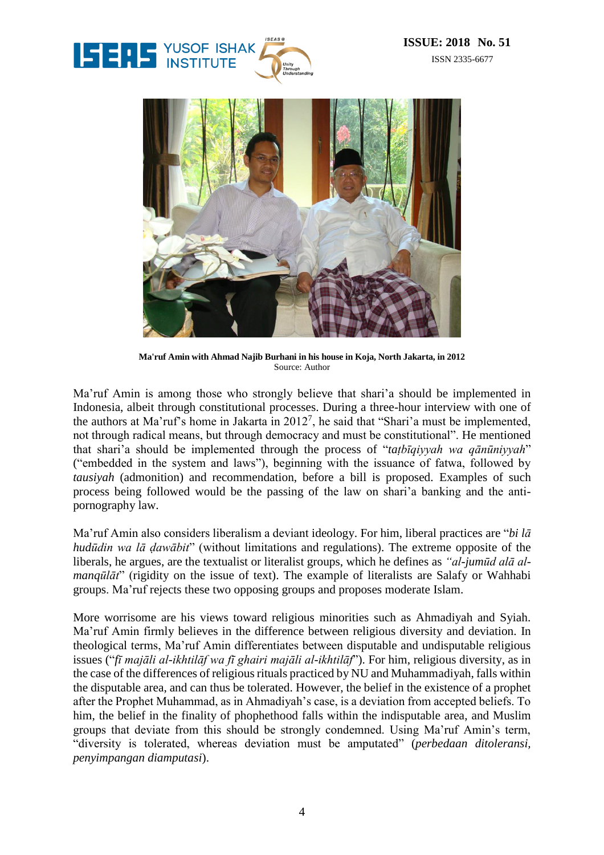



**Ma'ruf Amin with Ahmad Najib Burhani in his house in Koja, North Jakarta, in 2012** Source: Author

Ma'ruf Amin is among those who strongly believe that shari'a should be implemented in Indonesia, albeit through constitutional processes. During a three-hour interview with one of the authors at Ma'ruf's home in Jakarta in  $2012^7$ , he said that "Shari'a must be implemented, not through radical means, but through democracy and must be constitutional". He mentioned that shari'a should be implemented through the process of "*taṭbīqiyyah wa qānūniyyah*" ("embedded in the system and laws"), beginning with the issuance of fatwa, followed by *tausiyah* (admonition) and recommendation, before a bill is proposed. Examples of such process being followed would be the passing of the law on shari'a banking and the antipornography law.

Ma'ruf Amin also considers liberalism a deviant ideology. For him, liberal practices are "*bi lā hudūdin wa lā ḍawābit*" (without limitations and regulations). The extreme opposite of the liberals, he argues, are the textualist or literalist groups, which he defines as *"al-jumūd alā almanqūlāt*" (rigidity on the issue of text). The example of literalists are Salafy or Wahhabi groups. Ma'ruf rejects these two opposing groups and proposes moderate Islam.

More worrisome are his views toward religious minorities such as Ahmadiyah and Syiah. Ma'ruf Amin firmly believes in the difference between religious diversity and deviation. In theological terms, Ma'ruf Amin differentiates between disputable and undisputable religious issues ("*fī majāli al-ikhtilāf wa fī ghairi majāli al-ikhtilāf*"). For him, religious diversity, as in the case of the differences of religious rituals practiced by NU and Muhammadiyah, falls within the disputable area, and can thus be tolerated. However, the belief in the existence of a prophet after the Prophet Muhammad, as in Ahmadiyah's case, is a deviation from accepted beliefs. To him, the belief in the finality of phophethood falls within the indisputable area, and Muslim groups that deviate from this should be strongly condemned. Using Ma'ruf Amin's term, "diversity is tolerated, whereas deviation must be amputated" (*perbedaan ditoleransi, penyimpangan diamputasi*).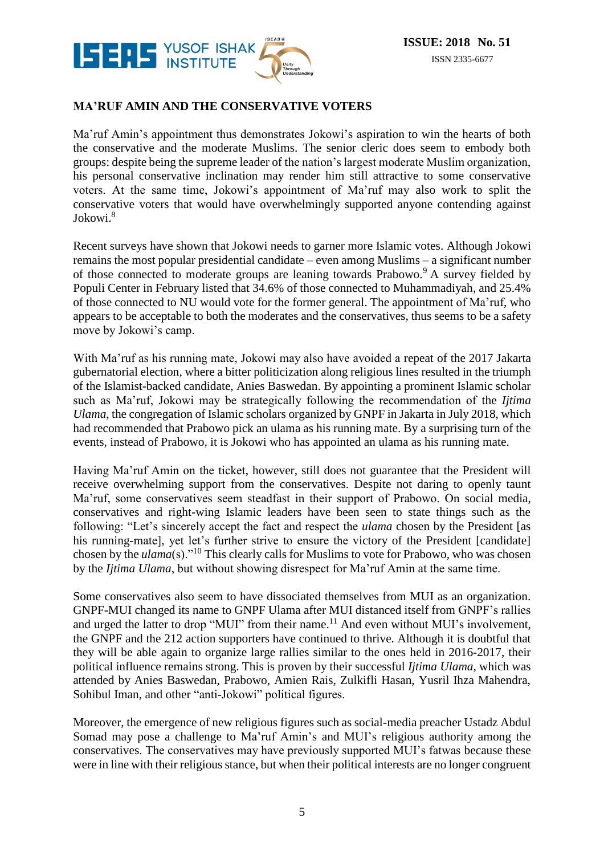

#### **MA'RUF AMIN AND THE CONSERVATIVE VOTERS**

Ma'ruf Amin's appointment thus demonstrates Jokowi's aspiration to win the hearts of both the conservative and the moderate Muslims. The senior cleric does seem to embody both groups: despite being the supreme leader of the nation's largest moderate Muslim organization, his personal conservative inclination may render him still attractive to some conservative voters. At the same time, Jokowi's appointment of Ma'ruf may also work to split the conservative voters that would have overwhelmingly supported anyone contending against Jokowi.<sup>8</sup>

Recent surveys have shown that Jokowi needs to garner more Islamic votes. Although Jokowi remains the most popular presidential candidate – even among Muslims – a significant number of those connected to moderate groups are leaning towards Prabowo.<sup>9</sup> A survey fielded by Populi Center in February listed that 34.6% of those connected to Muhammadiyah, and 25.4% of those connected to NU would vote for the former general. The appointment of Ma'ruf, who appears to be acceptable to both the moderates and the conservatives, thus seems to be a safety move by Jokowi's camp.

With Ma'ruf as his running mate, Jokowi may also have avoided a repeat of the 2017 Jakarta gubernatorial election, where a bitter politicization along religious lines resulted in the triumph of the Islamist-backed candidate, Anies Baswedan. By appointing a prominent Islamic scholar such as Ma'ruf, Jokowi may be strategically following the recommendation of the *Ijtima Ulama*, the congregation of Islamic scholars organized by GNPF in Jakarta in July 2018, which had recommended that Prabowo pick an ulama as his running mate. By a surprising turn of the events, instead of Prabowo, it is Jokowi who has appointed an ulama as his running mate.

Having Ma'ruf Amin on the ticket, however, still does not guarantee that the President will receive overwhelming support from the conservatives. Despite not daring to openly taunt Ma'ruf, some conservatives seem steadfast in their support of Prabowo. On social media, conservatives and right-wing Islamic leaders have been seen to state things such as the following: "Let's sincerely accept the fact and respect the *ulama* chosen by the President [as his running-mate, yet let's further strive to ensure the victory of the President [candidate] chosen by the *ulama*(s)."<sup>10</sup> This clearly calls for Muslims to vote for Prabowo, who was chosen by the *Ijtima Ulama*, but without showing disrespect for Ma'ruf Amin at the same time.

Some conservatives also seem to have dissociated themselves from MUI as an organization. GNPF-MUI changed its name to GNPF Ulama after MUI distanced itself from GNPF's rallies and urged the latter to drop "MUI" from their name.<sup>11</sup> And even without MUI's involvement, the GNPF and the 212 action supporters have continued to thrive. Although it is doubtful that they will be able again to organize large rallies similar to the ones held in 2016-2017, their political influence remains strong. This is proven by their successful *Ijtima Ulama*, which was attended by Anies Baswedan, Prabowo, Amien Rais, Zulkifli Hasan, Yusril Ihza Mahendra, Sohibul Iman, and other "anti-Jokowi" political figures.

Moreover, the emergence of new religious figures such as social-media preacher Ustadz Abdul Somad may pose a challenge to Ma'ruf Amin's and MUI's religious authority among the conservatives. The conservatives may have previously supported MUI's fatwas because these were in line with their religious stance, but when their political interests are no longer congruent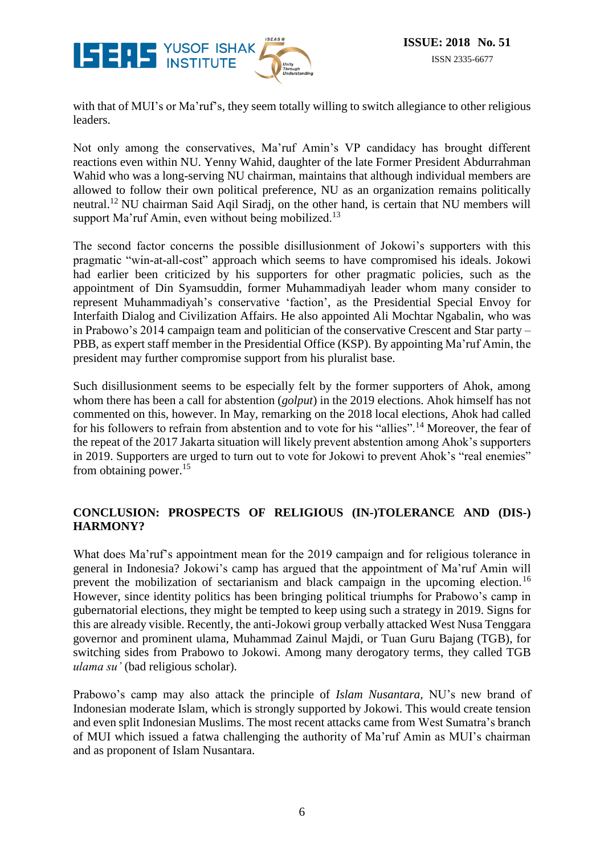

with that of MUI's or Ma'ruf's, they seem totally willing to switch allegiance to other religious leaders.

Not only among the conservatives, Ma'ruf Amin's VP candidacy has brought different reactions even within NU. Yenny Wahid, daughter of the late Former President Abdurrahman Wahid who was a long-serving NU chairman, maintains that although individual members are allowed to follow their own political preference, NU as an organization remains politically neutral.<sup>12</sup> NU chairman Said Aqil Siradj, on the other hand, is certain that NU members will support Ma'ruf Amin, even without being mobilized.<sup>13</sup>

The second factor concerns the possible disillusionment of Jokowi's supporters with this pragmatic "win-at-all-cost" approach which seems to have compromised his ideals. Jokowi had earlier been criticized by his supporters for other pragmatic policies, such as the appointment of Din Syamsuddin, former Muhammadiyah leader whom many consider to represent Muhammadiyah's conservative 'faction', as the Presidential Special Envoy for Interfaith Dialog and Civilization Affairs. He also appointed Ali Mochtar Ngabalin, who was in Prabowo's 2014 campaign team and politician of the conservative Crescent and Star party – PBB, as expert staff member in the Presidential Office (KSP). By appointing Ma'ruf Amin, the president may further compromise support from his pluralist base.

Such disillusionment seems to be especially felt by the former supporters of Ahok, among whom there has been a call for abstention (*golput*) in the 2019 elections. Ahok himself has not commented on this, however. In May, remarking on the 2018 local elections, Ahok had called for his followers to refrain from abstention and to vote for his "allies".<sup>14</sup> Moreover, the fear of the repeat of the 2017 Jakarta situation will likely prevent abstention among Ahok's supporters in 2019. Supporters are urged to turn out to vote for Jokowi to prevent Ahok's "real enemies" from obtaining power.<sup>15</sup>

## **CONCLUSION: PROSPECTS OF RELIGIOUS (IN-)TOLERANCE AND (DIS-) HARMONY?**

What does Ma'ruf's appointment mean for the 2019 campaign and for religious tolerance in general in Indonesia? Jokowi's camp has argued that the appointment of Ma'ruf Amin will prevent the mobilization of sectarianism and black campaign in the upcoming election.<sup>16</sup> However, since identity politics has been bringing political triumphs for Prabowo's camp in gubernatorial elections, they might be tempted to keep using such a strategy in 2019. Signs for this are already visible. Recently, the anti-Jokowi group verbally attacked West Nusa Tenggara governor and prominent ulama, Muhammad Zainul Majdi, or Tuan Guru Bajang (TGB), for switching sides from Prabowo to Jokowi. Among many derogatory terms, they called TGB *ulama su'* (bad religious scholar).

Prabowo's camp may also attack the principle of *Islam Nusantara,* NU's new brand of Indonesian moderate Islam, which is strongly supported by Jokowi. This would create tension and even split Indonesian Muslims. The most recent attacks came from West Sumatra's branch of MUI which issued a fatwa challenging the authority of Ma'ruf Amin as MUI's chairman and as proponent of Islam Nusantara.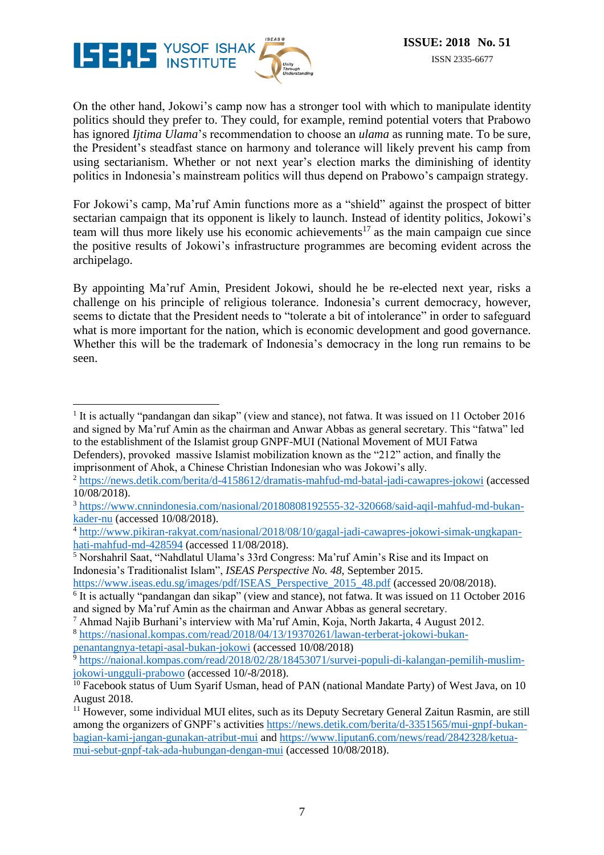

 $\overline{a}$ 

On the other hand, Jokowi's camp now has a stronger tool with which to manipulate identity politics should they prefer to. They could, for example, remind potential voters that Prabowo has ignored *Ijtima Ulama*'s recommendation to choose an *ulama* as running mate. To be sure, the President's steadfast stance on harmony and tolerance will likely prevent his camp from using sectarianism. Whether or not next year's election marks the diminishing of identity politics in Indonesia's mainstream politics will thus depend on Prabowo's campaign strategy.

For Jokowi's camp, Ma'ruf Amin functions more as a "shield" against the prospect of bitter sectarian campaign that its opponent is likely to launch. Instead of identity politics, Jokowi's team will thus more likely use his economic achievements <sup>17</sup> as the main campaign cue since the positive results of Jokowi's infrastructure programmes are becoming evident across the archipelago.

By appointing Ma'ruf Amin, President Jokowi, should he be re-elected next year, risks a challenge on his principle of religious tolerance. Indonesia's current democracy, however, seems to dictate that the President needs to "tolerate a bit of intolerance" in order to safeguard what is more important for the nation, which is economic development and good governance. Whether this will be the trademark of Indonesia's democracy in the long run remains to be seen.

[penantangnya-tetapi-asal-bukan-jokowi](https://nasional.kompas.com/read/2018/04/13/19370261/lawan-terberat-jokowi-bukan-penantangnya-tetapi-asal-bukan-jokowi) (accessed 10/08/2018)

<sup>&</sup>lt;sup>1</sup> It is actually "pandangan dan sikap" (view and stance), not fatwa. It was issued on 11 October 2016 and signed by Ma'ruf Amin as the chairman and Anwar Abbas as general secretary. This "fatwa" led to the establishment of the Islamist group GNPF-MUI (National Movement of MUI Fatwa

Defenders), provoked massive Islamist mobilization known as the "212" action, and finally the imprisonment of Ahok, a Chinese Christian Indonesian who was Jokowi's ally.

<sup>2</sup> <https://news.detik.com/berita/d-4158612/dramatis-mahfud-md-batal-jadi-cawapres-jokowi> (accessed 10/08/2018).

<sup>3</sup> [https://www.cnnindonesia.com/nasional/20180808192555-32-320668/said-aqil-mahfud-md-bukan](https://www.cnnindonesia.com/nasional/20180808192555-32-320668/said-aqil-mahfud-md-bukan-kader-nu)[kader-nu](https://www.cnnindonesia.com/nasional/20180808192555-32-320668/said-aqil-mahfud-md-bukan-kader-nu) (accessed 10/08/2018).

<sup>4</sup> [http://www.pikiran-rakyat.com/nasional/2018/08/10/gagal-jadi-cawapres-jokowi-simak-ungkapan](http://www.pikiran-rakyat.com/nasional/2018/08/10/gagal-jadi-cawapres-jokowi-simak-ungkapan-hati-mahfud-md-428594)[hati-mahfud-md-428594](http://www.pikiran-rakyat.com/nasional/2018/08/10/gagal-jadi-cawapres-jokowi-simak-ungkapan-hati-mahfud-md-428594) (accessed 11/08/2018).

<sup>5</sup> Norshahril Saat, "Nahdlatul Ulama's 33rd Congress: Ma'ruf Amin's Rise and its Impact on Indonesia's Traditionalist Islam", *ISEAS Perspective No. 48*, September 2015.

[https://www.iseas.edu.sg/images/pdf/ISEAS\\_Perspective\\_2015\\_48.pdf](https://www.iseas.edu.sg/images/pdf/ISEAS_Perspective_2015_48.pdf) (accessed 20/08/2018).

<sup>&</sup>lt;sup>6</sup> It is actually "pandangan dan sikap" (view and stance), not fatwa. It was issued on 11 October 2016 and signed by Ma'ruf Amin as the chairman and Anwar Abbas as general secretary.

<sup>7</sup> Ahmad Najib Burhani's interview with Ma'ruf Amin, Koja, North Jakarta, 4 August 2012. <sup>8</sup> [https://nasional.kompas.com/read/2018/04/13/19370261/lawan-terberat-jokowi-bukan-](https://nasional.kompas.com/read/2018/04/13/19370261/lawan-terberat-jokowi-bukan-penantangnya-tetapi-asal-bukan-jokowi)

<sup>9</sup> [https://naional.kompas.com/read/2018/02/28/18453071/survei-populi-di-kalangan-pemilih-muslim](https://naional.kompas.com/read/2018/02/28/18453071/survei-populi-di-kalangan-pemilih-muslim-jokowi-ungguli-prabowo)[jokowi-ungguli-prabowo](https://naional.kompas.com/read/2018/02/28/18453071/survei-populi-di-kalangan-pemilih-muslim-jokowi-ungguli-prabowo) (accessed 10/-8/2018).

<sup>&</sup>lt;sup>10</sup> Facebook status of Uum Syarif Usman, head of PAN (national Mandate Party) of West Java, on 10 August 2018.

<sup>&</sup>lt;sup>11</sup> However, some individual MUI elites, such as its Deputy Secretary General Zaitun Rasmin, are still among the organizers of GNPF's activitie[s https://news.detik.com/berita/d-3351565/mui-gnpf-bukan](https://news.detik.com/berita/d-3351565/mui-gnpf-bukan-bagian-kami-jangan-gunakan-atribut-mui)[bagian-kami-jangan-gunakan-atribut-mui](https://news.detik.com/berita/d-3351565/mui-gnpf-bukan-bagian-kami-jangan-gunakan-atribut-mui) and [https://www.liputan6.com/news/read/2842328/ketua](https://www.liputan6.com/news/read/2842328/ketua-mui-sebut-gnpf-tak-ada-hubungan-dengan-mui)[mui-sebut-gnpf-tak-ada-hubungan-dengan-mui](https://www.liputan6.com/news/read/2842328/ketua-mui-sebut-gnpf-tak-ada-hubungan-dengan-mui) (accessed 10/08/2018).